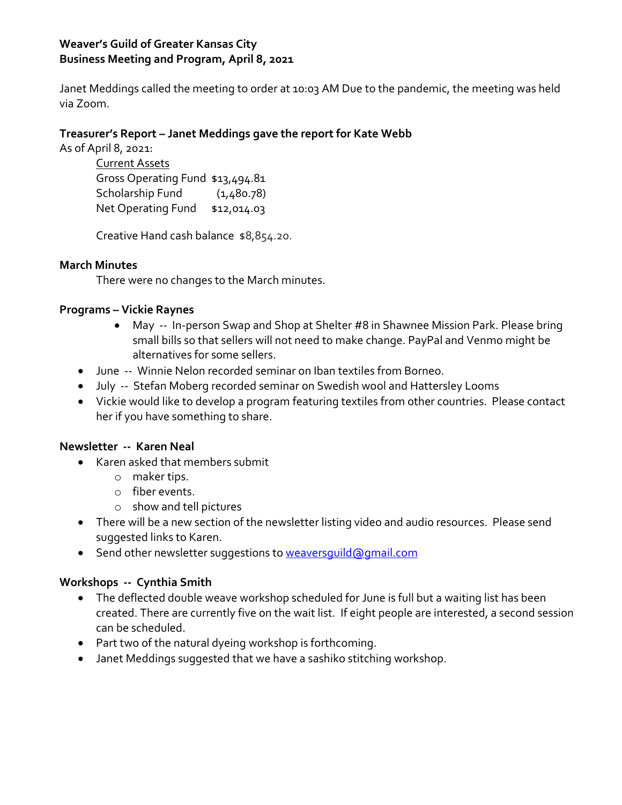# **Weaver's Guild of Greater Kansas City Business Meeting and Program, April 8, 2021**

Janet Meddings called the meeting to order at 10:03 AM Due to the pandemic, the meeting was held via Zoom.

## **Treasurer's Report – Janet Meddings gave the report for Kate Webb**

As of April 8, 2021:

Current Assets Gross Operating Fund \$13,494.81 Scholarship Fund (1,480.78) Net Operating Fund \$12,014.03

Creative Hand cash balance \$8,854.20.

## **March Minutes**

There were no changes to the March minutes.

## **Programs – Vickie Raynes**

- May -- In-person Swap and Shop at Shelter #8 in Shawnee Mission Park. Please bring small bills so that sellers will not need to make change. PayPal and Venmo might be alternatives for some sellers.
- June -- Winnie Nelon recorded seminar on Iban textiles from Borneo.
- July -- Stefan Moberg recorded seminar on Swedish wool and Hattersley Looms
- Vickie would like to develop a program featuring textiles from other countries. Please contact her if you have something to share.

### **Newsletter -- Karen Neal**

- Karen asked that members submit
	- o maker tips.
	- o fiber events.
	- o show and tell pictures
- There will be a new section of the newsletter listing video and audio resources. Please send suggested links to Karen.
- Send other newsletter suggestions to weaversquild@gmail.com

# **Workshops -- Cynthia Smith**

- The deflected double weave workshop scheduled for June is full but a waiting list has been created. There are currently five on the wait list. If eight people are interested, a second session can be scheduled.
- Part two of the natural dyeing workshop is forthcoming.
- Janet Meddings suggested that we have a sashiko stitching workshop.